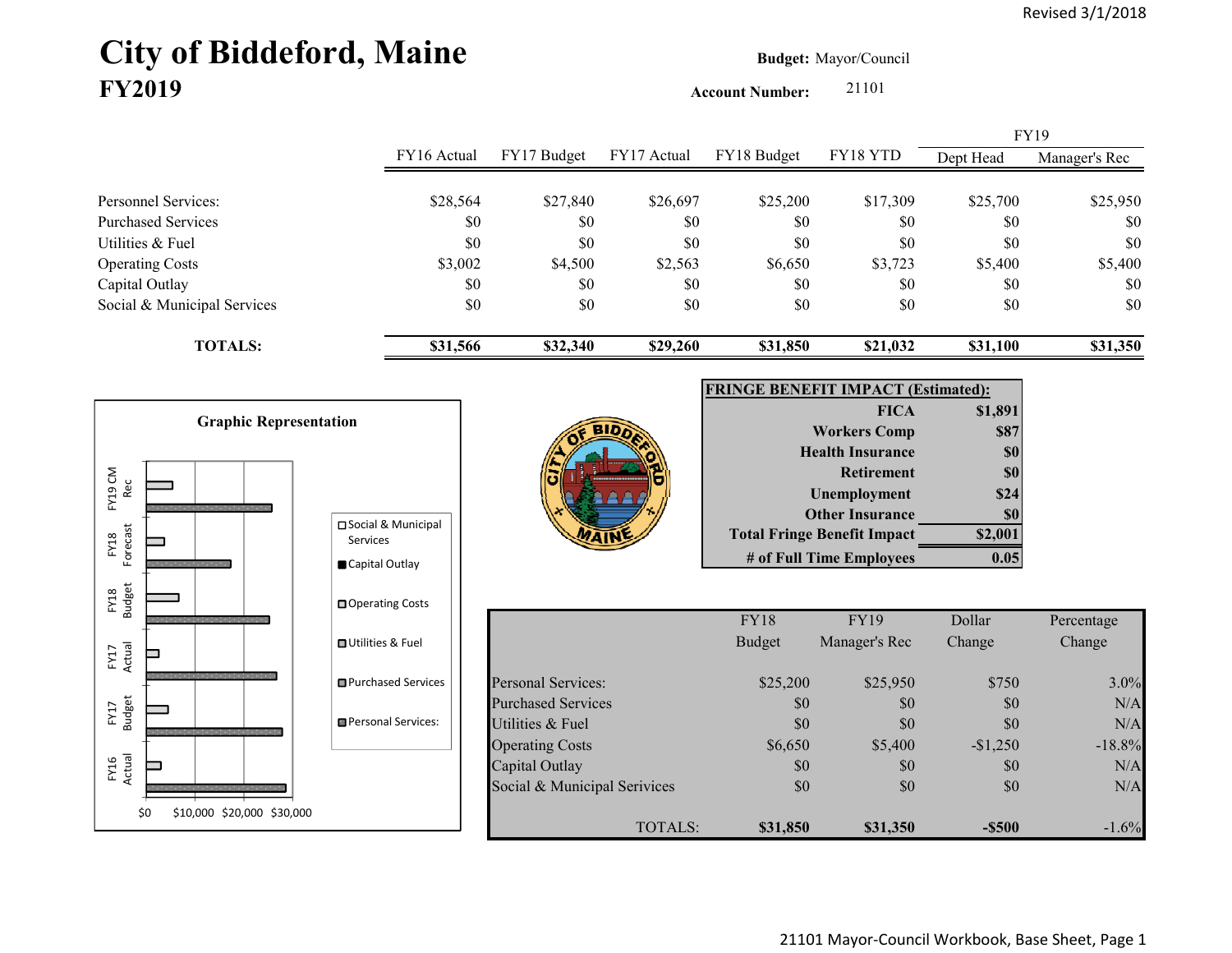# City of Biddeford, Maine **Budget: Mayor/Council FY2019**

**Account Number:** 21101

|                             |             |             |             |             |          | FY19      |               |
|-----------------------------|-------------|-------------|-------------|-------------|----------|-----------|---------------|
|                             | FY16 Actual | FY17 Budget | FY17 Actual | FY18 Budget | FY18 YTD | Dept Head | Manager's Rec |
|                             |             |             |             |             |          |           |               |
| Personnel Services:         | \$28,564    | \$27,840    | \$26,697    | \$25,200    | \$17,309 | \$25,700  | \$25,950      |
| <b>Purchased Services</b>   | \$0         | \$0         | \$0         | \$0         | \$0      | \$0       | \$0           |
| Utilities & Fuel            | \$0         | \$0         | \$0         | \$0         | \$0      | \$0       | \$0           |
| <b>Operating Costs</b>      | \$3,002     | \$4,500     | \$2,563     | \$6,650     | \$3,723  | \$5,400   | \$5,400       |
| Capital Outlay              | \$0         | \$0         | \$0         | \$0         | \$0      | \$0       | \$0           |
| Social & Municipal Services | \$0         | \$0         | \$0         | \$0         | \$0      | \$0       | \$0           |
| <b>TOTALS:</b>              | \$31,566    | \$32,340    | \$29,260    | \$31,850    | \$21,032 | \$31,100  | \$31,350      |





| <b>FRINGE BENEFIT IMPACT (Estimated):</b> |         |  |  |  |  |
|-------------------------------------------|---------|--|--|--|--|
| <b>FICA</b>                               | \$1,891 |  |  |  |  |
| <b>Workers Comp</b>                       | \$87    |  |  |  |  |
| <b>Health Insurance</b>                   | \$0     |  |  |  |  |
| <b>Retirement</b>                         | \$0     |  |  |  |  |
| <b>Unemployment</b>                       | \$24    |  |  |  |  |
| <b>Other Insurance</b>                    | \$0     |  |  |  |  |
| <b>Total Fringe Benefit Impact</b>        | \$2,001 |  |  |  |  |
| # of Full Time Employees                  |         |  |  |  |  |

|                              | <b>FY18</b> | <b>FY19</b>   | Dollar     | Percentage |
|------------------------------|-------------|---------------|------------|------------|
|                              | Budget      | Manager's Rec | Change     | Change     |
| Personal Services:           | \$25,200    | \$25,950      | \$750      | $3.0\%$    |
| <b>Purchased Services</b>    | \$0         | \$0           | \$0        | N/A        |
| Utilities & Fuel             | \$0         | \$0           | \$0        | N/A        |
| <b>Operating Costs</b>       | \$6,650     | \$5,400       | $-\$1,250$ | $-18.8%$   |
| Capital Outlay               | \$0         | \$0           | \$0        | N/A        |
| Social & Municipal Serivices | \$0         | \$0           | \$0        | N/A        |
| TOTALS:                      | \$31,850    | \$31,350      | $-$ \$500  | $-1.6\%$   |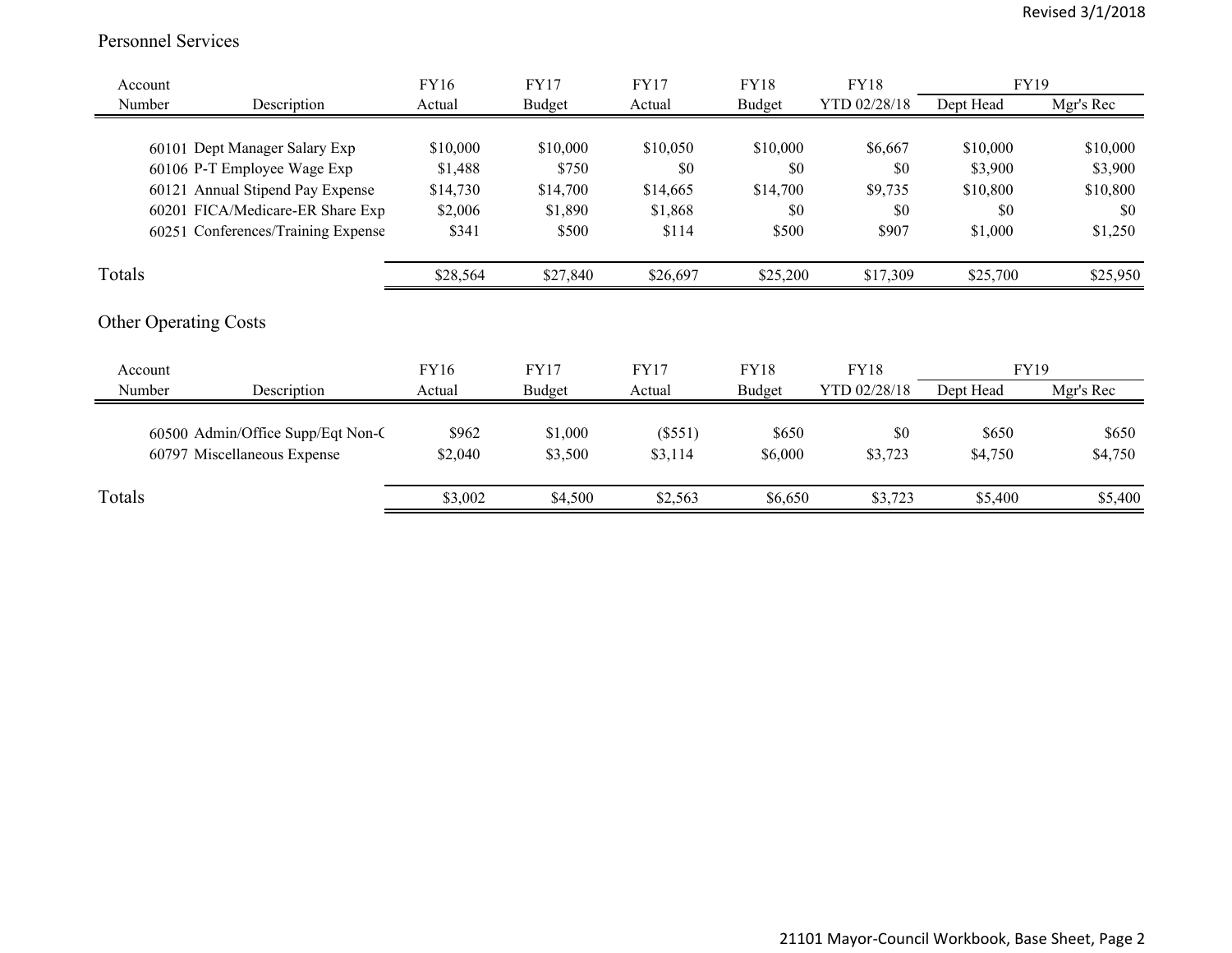#### Personnel Services

|        | Account                            | FY16     | <b>FY17</b>   | <b>FY17</b> | <b>FY18</b> | <b>FY18</b>  | <b>FY19</b> |           |
|--------|------------------------------------|----------|---------------|-------------|-------------|--------------|-------------|-----------|
|        | Description<br>Number              | Actual   | <b>Budget</b> | Actual      | Budget      | YTD 02/28/18 | Dept Head   | Mgr's Rec |
|        |                                    |          |               |             |             |              |             |           |
|        | 60101 Dept Manager Salary Exp      | \$10,000 | \$10,000      | \$10,050    | \$10,000    | \$6,667      | \$10,000    | \$10,000  |
|        | 60106 P-T Employee Wage Exp        | \$1,488  | \$750         | \$0         | \$0         | \$0          | \$3,900     | \$3,900   |
|        | 60121 Annual Stipend Pay Expense   | \$14,730 | \$14,700      | \$14,665    | \$14,700    | \$9,735      | \$10,800    | \$10,800  |
|        | 60201 FICA/Medicare-ER Share Exp   | \$2,006  | \$1,890       | \$1,868     | \$0         | \$0          | \$0         | \$0       |
|        | 60251 Conferences/Training Expense | \$341    | \$500         | \$114       | \$500       | \$907        | \$1,000     | \$1,250   |
| Totals |                                    | \$28,564 | \$27,840      | \$26,697    | \$25,200    | \$17,309     | \$25,700    | \$25,950  |
|        | <b>Other Operating Costs</b>       |          |               |             |             |              |             |           |
|        | Account                            | FY16     | <b>FY17</b>   | <b>FY17</b> | FY18        | <b>FY18</b>  | FY19        |           |
|        | Description<br>Number              | Actual   | Budget        | Actual      | Budget      | YTD 02/28/18 | Dept Head   | Mgr's Rec |
|        | 60500 Admin/Office Supp/Eqt Non-C  | \$962    | \$1,000       | (\$551)     | \$650       | \$0          | \$650       | \$650     |
|        | 60797 Miscellaneous Expense        | \$2,040  | \$3,500       | \$3,114     | \$6,000     | \$3,723      | \$4,750     | \$4,750   |
| Totals |                                    | \$3,002  | \$4,500       | \$2,563     | \$6,650     | \$3,723      | \$5,400     | \$5,400   |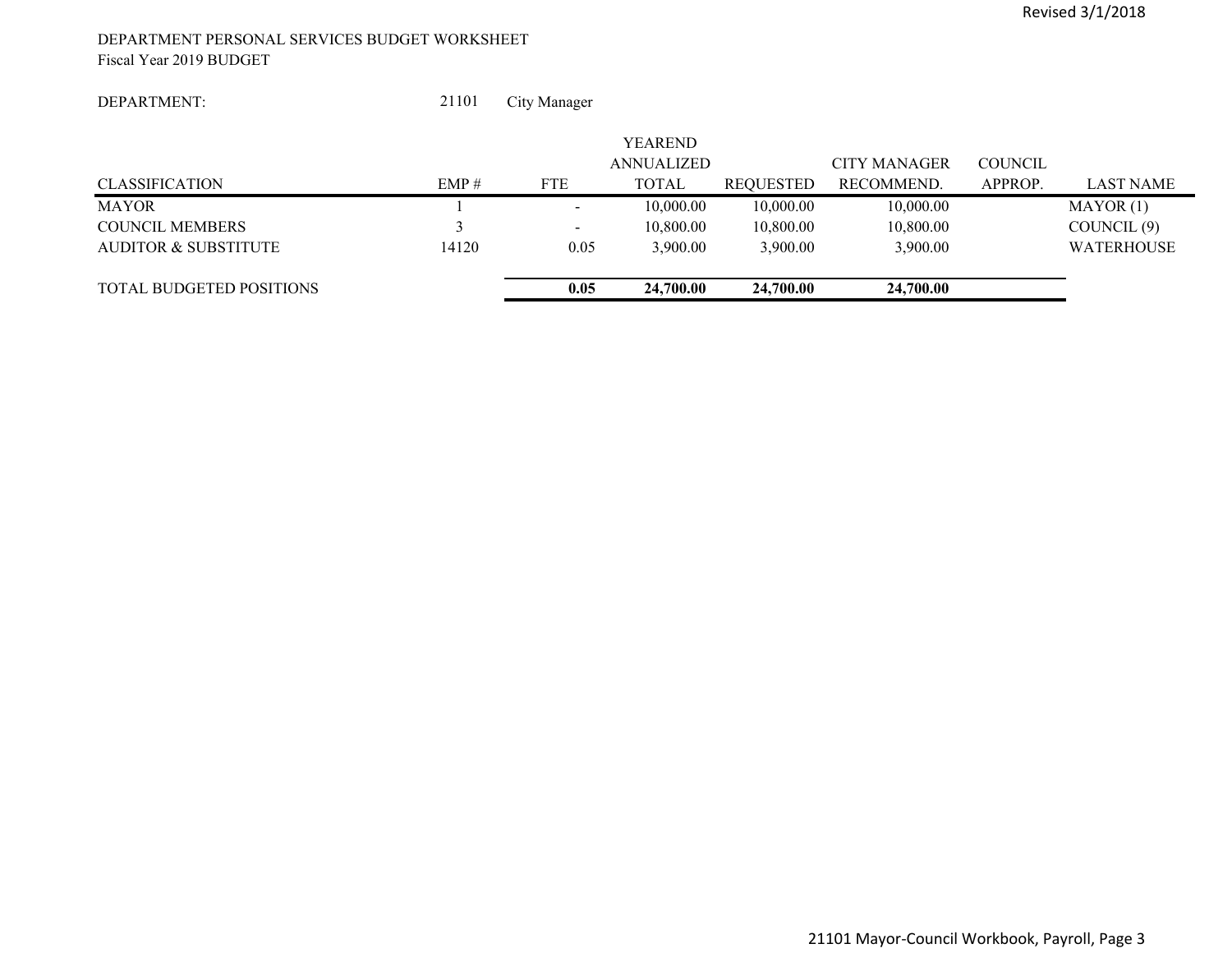#### DEPARTMENT PERSONAL SERVICES BUDGET WORKSHEET Fiscal Year 2019 BUDGET

#### DEPARTMENT:

 21101City Manager

|                                 |       |                          | <b>YEAREND</b>    |                  |                     |                |                   |
|---------------------------------|-------|--------------------------|-------------------|------------------|---------------------|----------------|-------------------|
|                                 |       |                          | <b>ANNUALIZED</b> |                  | <b>CITY MANAGER</b> | <b>COUNCIL</b> |                   |
| <b>CLASSIFICATION</b>           | EMP#  | <b>FTE</b>               | <b>TOTAL</b>      | <b>REQUESTED</b> | RECOMMEND.          | APPROP.        | LAST NAME         |
| <b>MAYOR</b>                    |       |                          | 10,000.00         | 10,000.00        | 10,000.00           |                | MAYOR(1)          |
| <b>COUNCIL MEMBERS</b>          |       | $\overline{\phantom{a}}$ | 10,800.00         | 10,800.00        | 10,800.00           |                | COUNCIL $(9)$     |
| AUDITOR & SUBSTITUTE            | 14120 | 0.05                     | 3,900.00          | 3,900.00         | 3,900.00            |                | <b>WATERHOUSE</b> |
| <b>TOTAL BUDGETED POSITIONS</b> |       | 0.05                     | 24,700.00         | 24,700.00        | 24,700.00           |                |                   |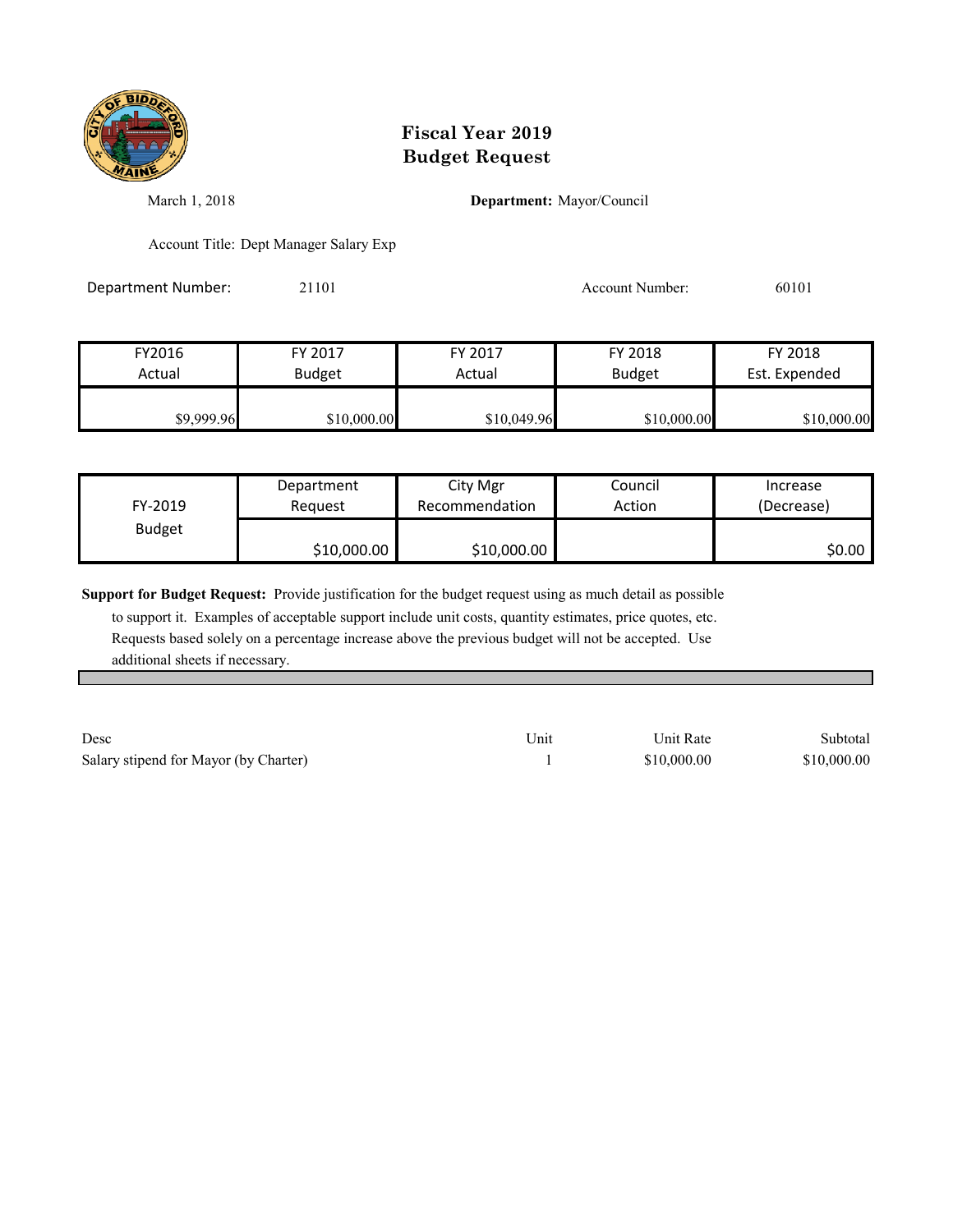

March 1, 2018 **Department:** Mayor/Council

Account Title: Dept Manager Salary Exp

Department Number: 21101 21101 Account Number: 60101

| FY2016     | FY 2017       | FY 2017     | FY 2018       | FY 2018       |
|------------|---------------|-------------|---------------|---------------|
| Actual     | <b>Budget</b> | Actual      | <b>Budget</b> | Est. Expended |
| \$9,999.96 | \$10,000.00   | \$10,049.96 | \$10,000.00   | \$10,000.00   |

| FY-2019       | Department  | City Mgr       | Council | Increase   |
|---------------|-------------|----------------|---------|------------|
|               | Reauest     | Recommendation | Action  | (Decrease) |
| <b>Budget</b> | \$10,000.00 | \$10,000.00    |         | \$0.00     |

**Support for Budget Request:** Provide justification for the budget request using as much detail as possible

 to support it. Examples of acceptable support include unit costs, quantity estimates, price quotes, etc. Requests based solely on a percentage increase above the previous budget will not be accepted. Use additional sheets if necessary.

| Desc                                  | Unit | Unit Rate   | Subtotal    |
|---------------------------------------|------|-------------|-------------|
| Salary stipend for Mayor (by Charter) |      | \$10,000.00 | \$10,000.00 |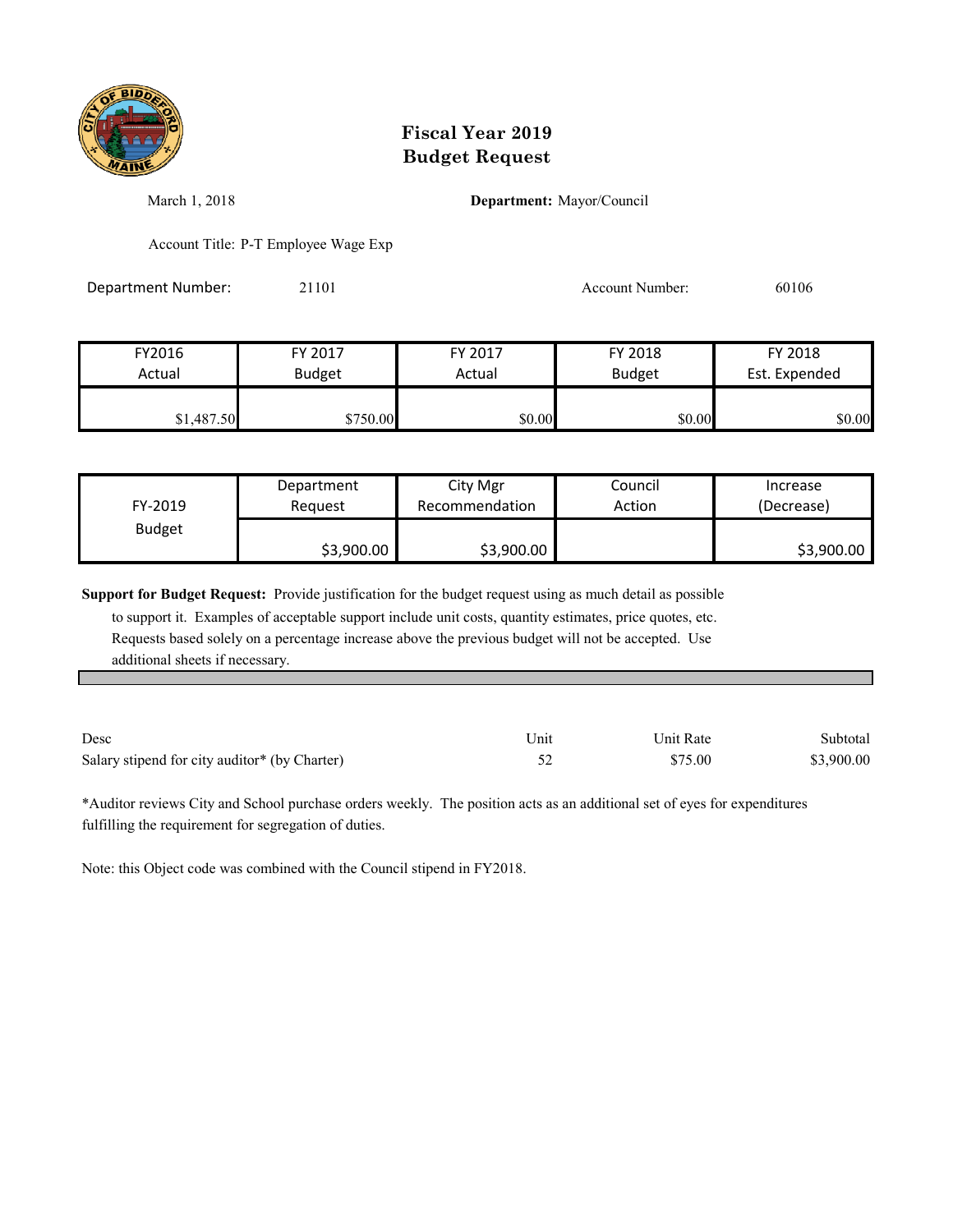

March 1, 2018 **Department:** Mayor/Council

Account Title: P-T Employee Wage Exp

Department Number: 21101 Account Number: 60106

| FY2016     | FY 2017       | FY 2017 | FY 2018       | FY 2018       |
|------------|---------------|---------|---------------|---------------|
| Actual     | <b>Budget</b> | Actual  | <b>Budget</b> | Est. Expended |
|            |               |         |               |               |
| \$1,487.50 | \$750.00      | \$0.00  | \$0.00        | \$0.00        |

| FY-2019       | Department | City Mgr       | Council | Increase   |
|---------------|------------|----------------|---------|------------|
|               | Reauest    | Recommendation | Action  | (Decrease) |
| <b>Budget</b> | \$3,900.00 | \$3,900.00     |         | \$3,900.00 |

**Support for Budget Request:** Provide justification for the budget request using as much detail as possible

 to support it. Examples of acceptable support include unit costs, quantity estimates, price quotes, etc. Requests based solely on a percentage increase above the previous budget will not be accepted. Use additional sheets if necessary.

| Desc                                          | ' Jnit | Unit Rate | Subtotal   |
|-----------------------------------------------|--------|-----------|------------|
| Salary stipend for city auditor* (by Charter) |        | \$75.00   | \$3,900.00 |

\*Auditor reviews City and School purchase orders weekly. The position acts as an additional set of eyes for expenditures fulfilling the requirement for segregation of duties.

Note: this Object code was combined with the Council stipend in FY2018.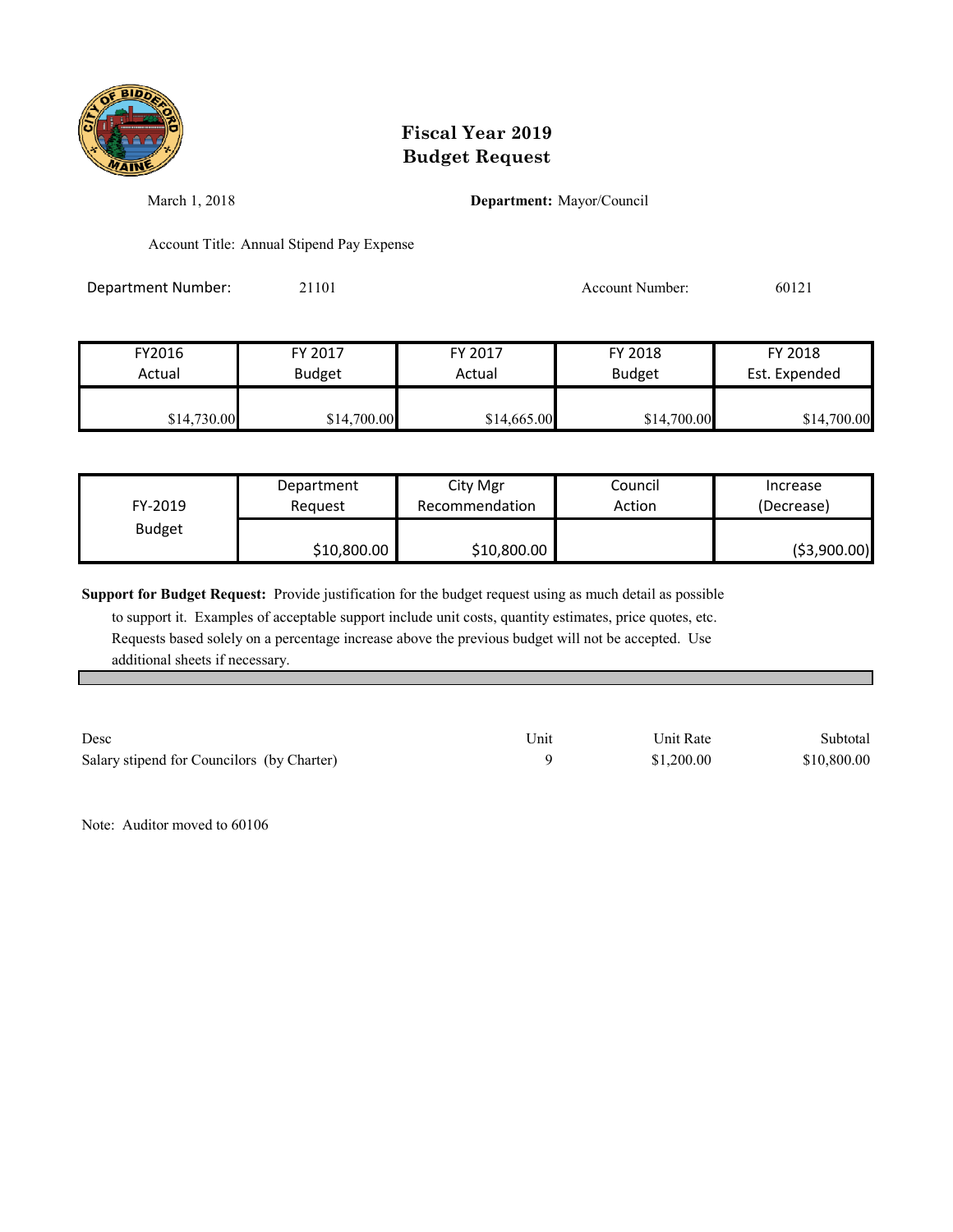

March 1, 2018 **Department:** Mayor/Council

Account Title: Annual Stipend Pay Expense

Department Number: 21101 21101 Account Number: 60121

| FY2016      | FY 2017       | FY 2017     | FY 2018       | FY 2018       |
|-------------|---------------|-------------|---------------|---------------|
| Actual      | <b>Budget</b> | Actual      | <b>Budget</b> | Est. Expended |
| \$14,730.00 | \$14,700.00   | \$14,665.00 | \$14,700.00   | \$14,700.00   |

| FY-2019       | Department  | City Mgr       | Council | Increase      |
|---------------|-------------|----------------|---------|---------------|
|               | Reauest     | Recommendation | Action  | (Decrease)    |
| <b>Budget</b> | \$10,800.00 | \$10,800.00    |         | ( \$3,900.00) |

**Support for Budget Request:** Provide justification for the budget request using as much detail as possible

 to support it. Examples of acceptable support include unit costs, quantity estimates, price quotes, etc. Requests based solely on a percentage increase above the previous budget will not be accepted. Use additional sheets if necessary.

| Desc                                       | ' Jnit | Unit Rate  | Subtotal    |
|--------------------------------------------|--------|------------|-------------|
| Salary stipend for Councilors (by Charter) |        | \$1,200.00 | \$10,800.00 |

Note: Auditor moved to 60106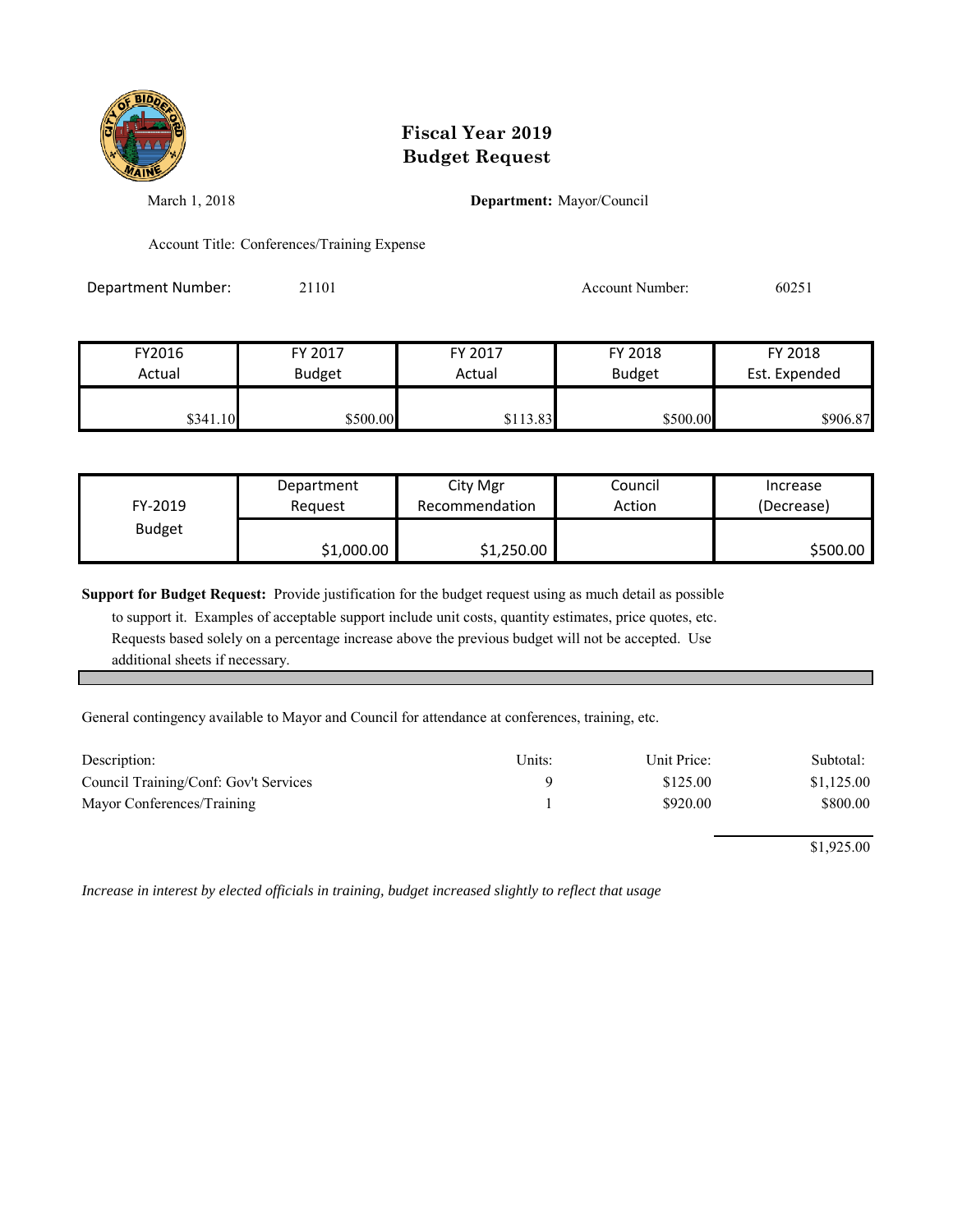

March 1, 2018 **Department:** Mayor/Council

Account Title: Conferences/Training Expense

Department Number: 21101 Account Number: 60251

| FY2016   | FY 2017       | FY 2017  | FY 2018       | FY 2018       |
|----------|---------------|----------|---------------|---------------|
| Actual   | <b>Budget</b> | Actual   | <b>Budget</b> | Est. Expended |
| \$341.10 | \$500.00      | \$113.83 | \$500.00      | \$906.87      |

| FY-2019       | Department | City Mgr       | Council | Increase   |
|---------------|------------|----------------|---------|------------|
|               | Reauest    | Recommendation | Action  | (Decrease) |
| <b>Budget</b> | \$1,000.00 | \$1,250.00     |         | \$500.00   |

**Support for Budget Request:** Provide justification for the budget request using as much detail as possible

 to support it. Examples of acceptable support include unit costs, quantity estimates, price quotes, etc. Requests based solely on a percentage increase above the previous budget will not be accepted. Use additional sheets if necessary.

General contingency available to Mayor and Council for attendance at conferences, training, etc.

| Description:                          | Units: | Unit Price: | Subtotal:  |
|---------------------------------------|--------|-------------|------------|
| Council Training/Conf: Gov't Services |        | \$125.00    | \$1,125.00 |
| Mayor Conferences/Training            |        | \$920.00    | \$800.00   |

\$1,925.00

*Increase in interest by elected officials in training, budget increased slightly to reflect that usage*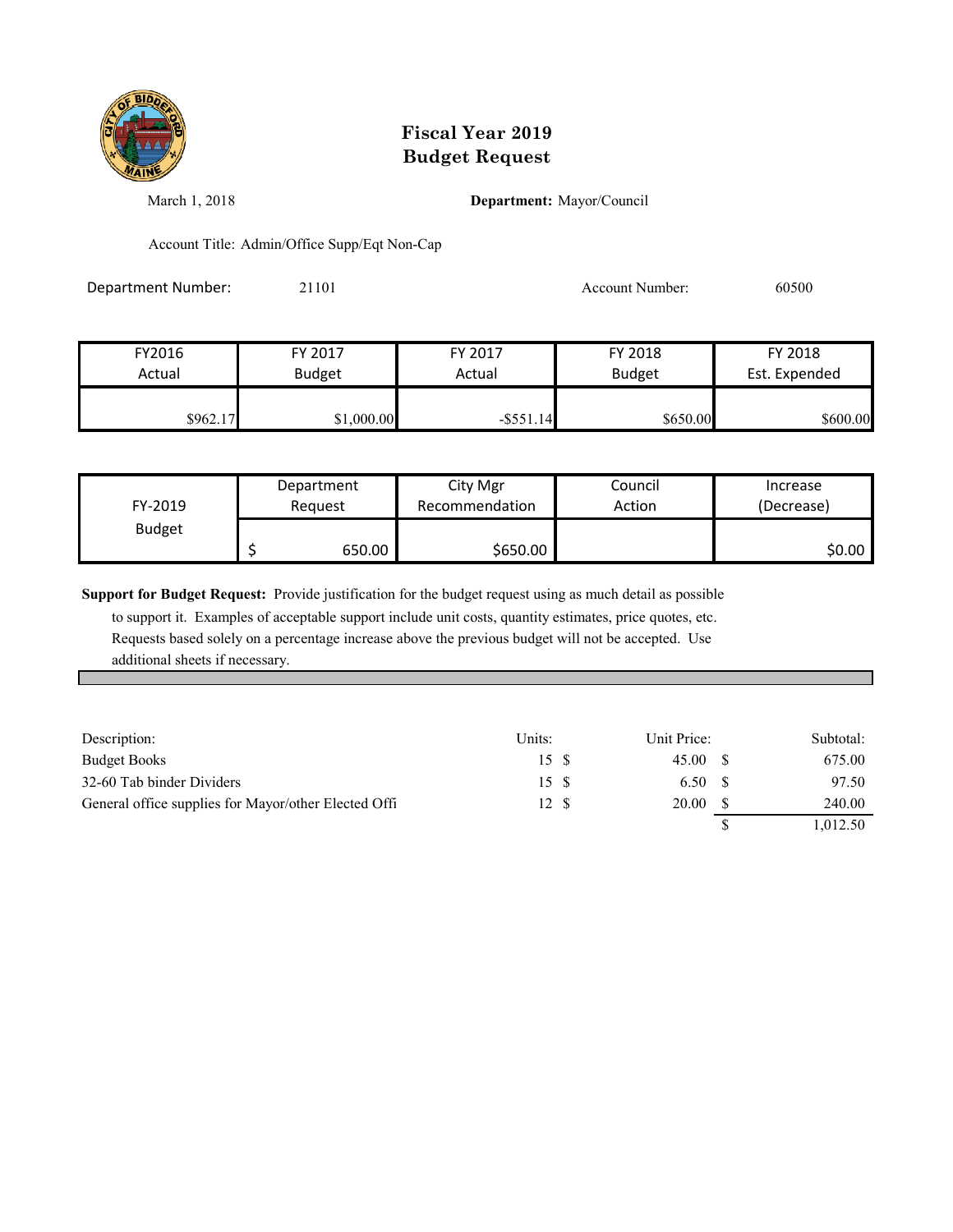

March 1, 2018 **Department:** Mayor/Council

Account Title: Admin/Office Supp/Eqt Non-Cap

Department Number: 21101 21101 Account Number: 60500

| FY2016   | FY 2017       | FY 2017      | FY 2018       | FY 2018       |
|----------|---------------|--------------|---------------|---------------|
| Actual   | <b>Budget</b> | Actual       | <b>Budget</b> | Est. Expended |
| \$962.17 | \$1,000.00    | $-$ \$551.14 | \$650.00      | \$600.00      |

| FY-2019       | Department | City Mgr       | Council | Increase   |
|---------------|------------|----------------|---------|------------|
|               | Reauest    | Recommendation | Action  | (Decrease) |
| <b>Budget</b> | 650.00     | \$650.00       |         | \$0.00     |

**Support for Budget Request:** Provide justification for the budget request using as much detail as possible

 to support it. Examples of acceptable support include unit costs, quantity estimates, price quotes, etc. Requests based solely on a percentage increase above the previous budget will not be accepted. Use additional sheets if necessary.

| Description:                                         | Units: | Unit Price: |     | Subtotal: |
|------------------------------------------------------|--------|-------------|-----|-----------|
| <b>Budget Books</b>                                  | 15 S   | 45.00       |     | 675.00    |
| 32-60 Tab binder Dividers                            | 15S    | 6.50        | - 8 | 97.50     |
| General office supplies for Mayor/other Elected Offi | 12 S   | 20.00       |     | 240.00    |
|                                                      |        |             |     | .012.50   |